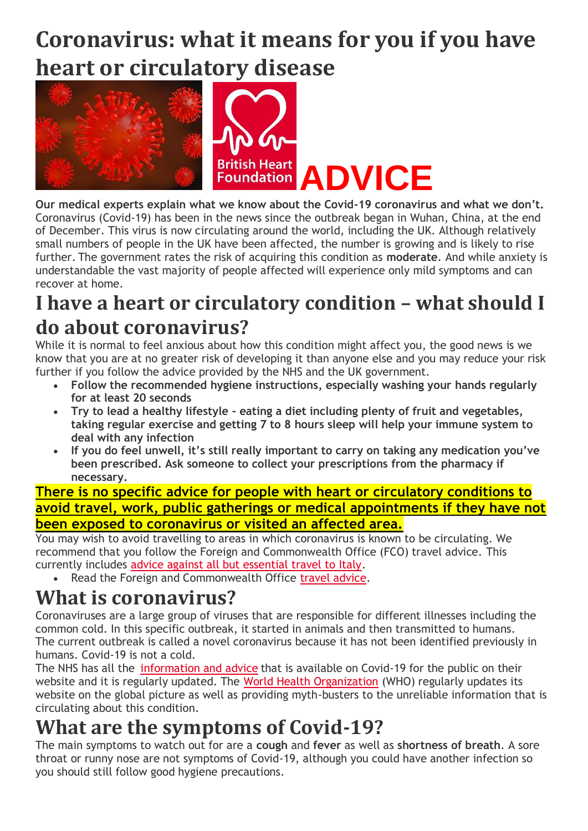# **Coronavirus: what it means for you if you have heart or circulatory disease**



**Our medical experts explain what we know about the Covid-19 coronavirus and what we don't.** Coronavirus (Covid-19) has been in the news since the outbreak began in Wuhan, China, at the end of December. This virus is now circulating around the world, including the UK. Although relatively small numbers of people in the UK have been affected, the number is growing and is likely to rise further. The government rates the risk of acquiring this condition as **moderate**. And while anxiety is understandable the vast majority of people affected will experience only mild symptoms and can recover at home.

## **I have a heart or circulatory condition – what should I do about coronavirus?**

While it is normal to feel anxious about how this condition might affect you, the good news is we know that you are at no greater risk of developing it than anyone else and you may reduce your risk further if you follow the advice provided by the NHS and the UK government.

- **Follow the recommended hygiene instructions, especially washing your hands regularly for at least 20 seconds**
- **Try to lead a healthy lifestyle - eating a diet including plenty of fruit and vegetables, taking regular exercise and getting 7 to 8 hours sleep will help your immune system to deal with any infection**
- **If you do feel unwell, it's still really important to carry on taking any medication you've been prescribed. Ask someone to collect your prescriptions from the pharmacy if necessary.**

**There is no specific advice for people with heart or circulatory conditions to avoid travel, work, public gatherings or medical appointments if they have not been exposed to coronavirus or visited an affected area.**

You may wish to avoid travelling to areas in which coronavirus is known to be circulating. We recommend that you follow the Foreign and Commonwealth Office (FCO) travel advice. This currently includes [advice against all but essential travel to Italy.](https://www.gov.uk/foreign-travel-advice/italy)

• Read the Foreign and Commonwealth Office [travel advice.](https://www.gov.uk/foreign-travel-advice)

### **What is coronavirus?**

Coronaviruses are a large group of viruses that are responsible for different illnesses including the common cold. In this specific outbreak, it started in animals and then transmitted to humans. The current outbreak is called a novel coronavirus because it has not been identified previously in humans. Covid-19 is not a cold.

The NHS has all the [information and advice](https://www.nhs.uk/conditions/coronavirus-covid-19/) that is available on Covid-19 for the public on their website and it is regularly updated. The [World Health Organization](https://www.who.int/health-topics/coronavirus) (WHO) regularly updates its website on the global picture as well as providing myth-busters to the unreliable information that is circulating about this condition.

### **What are the symptoms of Covid-19?**

The main symptoms to watch out for are a **cough** and **fever** as well as **shortness of breath**. A sore throat or runny nose are not symptoms of Covid-19, although you could have another infection so you should still follow good hygiene precautions.